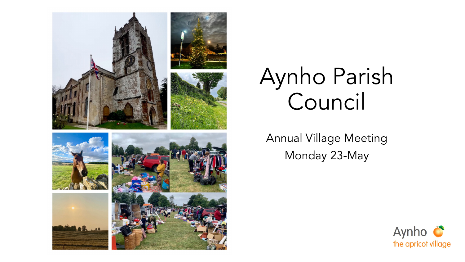

Annual Village Meeting Monday 23-May

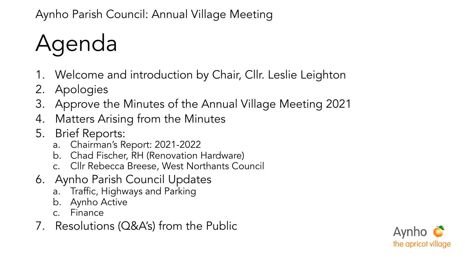# Agenda

- 1. Welcome and introduction by Chair, Cllr. Leslie Leighton
- 2. Apologies
- 3. Approve the Minutes of the Annual Village Meeting 2021
- 4. Matters Arising from the Minutes
- 5. Brief Reports:
	- a. Chairman's Report: 2021-2022
	- b. Chad Fischer, RH (Renovation Hardware)
	- c. Cllr Rebecca Breese, West Northants Council
- 6. Aynho Parish Council Updates
	- a. Traffic, Highways and Parking
	- b. Aynho Active
	- c. Finance
- 7. Resolutions (Q&A's) from the Public

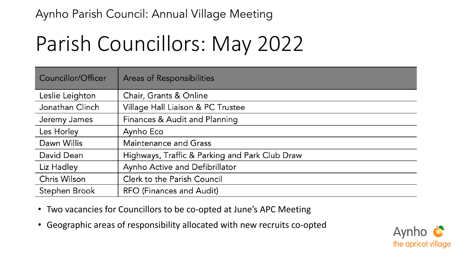### Parish Councillors: May 2022

| Councillor/Officer | <b>Areas of Responsibilities</b>               |
|--------------------|------------------------------------------------|
| Leslie Leighton    | Chair, Grants & Online                         |
| Jonathan Clinch    | Village Hall Liaison & PC Trustee              |
| Jeremy James       | Finances & Audit and Planning                  |
| Les Horley         | Aynho Eco                                      |
| Dawn Willis        | <b>Maintenance and Grass</b>                   |
| David Dean         | Highways, Traffic & Parking and Park Club Draw |
| Liz Hadley         | Aynho Active and Defibrillator                 |
| Chris Wilson       | Clerk to the Parish Council                    |
| Stephen Brook      | RFO (Finances and Audit)                       |

- Two vacancies for Councillors to be co-opted at June's APC Meeting
- Geographic areas of responsibility allocated with new recruits co-opted

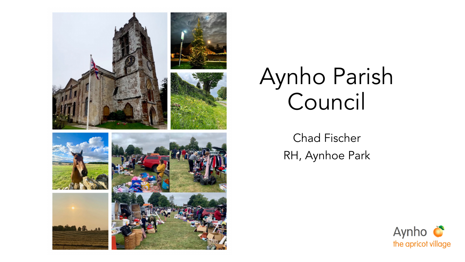

Chad Fischer RH, Aynhoe Park

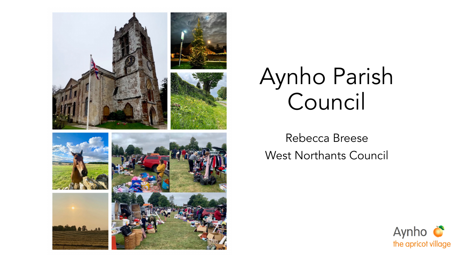

Rebecca Breese West Northants Council

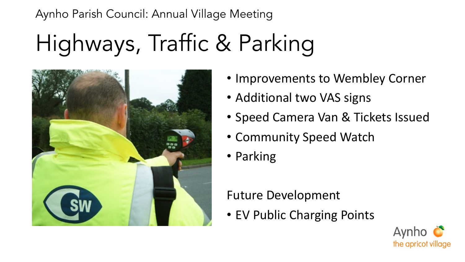## Highways, Traffic & Parking



- Improvements to Wembley Corner
- Additional two VAS signs
- Speed Camera Van & Tickets Issued
- Community Speed Watch
- Parking

#### Future Development

• EV Public Charging Points

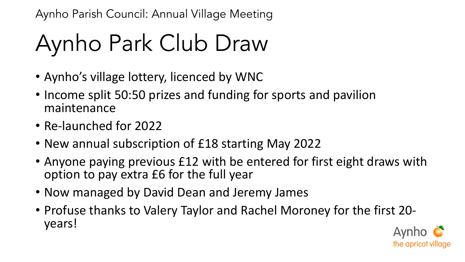# Aynho Park Club Draw

- Aynho's village lottery, licenced by WNC
- Income split 50:50 prizes and funding for sports and pavilion maintenance
- Re-launched for 2022
- New annual subscription of £18 starting May 2022
- Anyone paying previous £12 with be entered for first eight draws with option to pay extra £6 for the full year
- Now managed by David Dean and Jeremy James
- Profuse thanks to Valery Taylor and Rachel Moroney for the first 20- years!

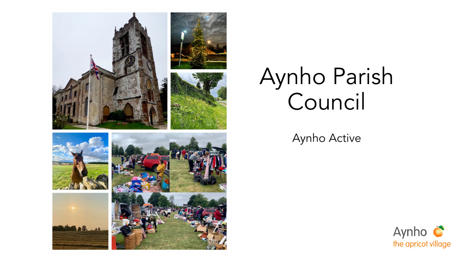

Aynho Active

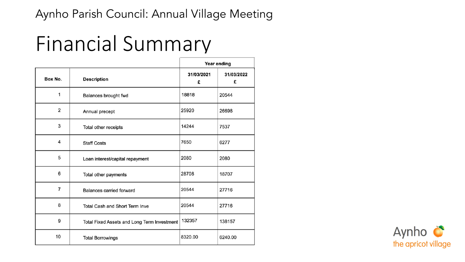### Financial Summary

|                |                                             | Year ending     |                 |
|----------------|---------------------------------------------|-----------------|-----------------|
| Box No.        | <b>Description</b>                          | 31/03/2021<br>£ | 31/03/2022<br>£ |
| 1              | Balances brought fwd                        | 18818           | 20544           |
| 2              | Annual precept                              | 25920           | 26698           |
| 3              | Total other receipts                        | 14244           | 7537            |
| 4              | <b>Staff Costs</b>                          | 7650            | 6277            |
| 5              | Loan interest/capital repayment             | 2080            | 2080            |
| 6              | Total other payments                        | 28708           | 18707           |
| $\overline{7}$ | <b>Balances carried forward</b>             | 20544           | 27716           |
| 8              | <b>Total Cash and Short Term Inve</b>       | 20544           | 27716           |
| 9              | Total Fixed Assets and Long Term Investment | 132357          | 138157          |
| 10             | <b>Total Borrowings</b>                     | 8320.00         | 6240.00         |

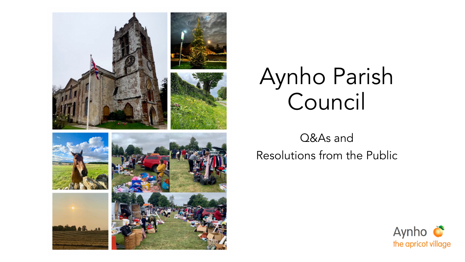

Q&As and Resolutions from the Public